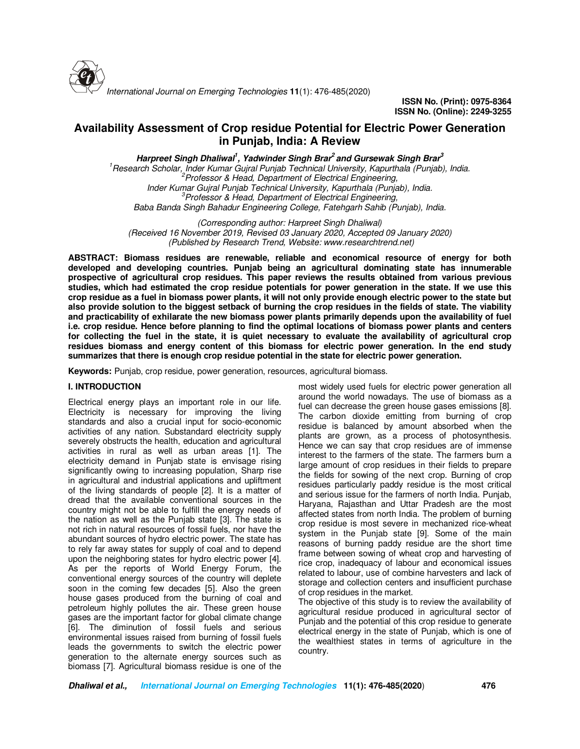

*International Journal on Emerging Technologies* **11**(1): 476-485(2020)

**ISSN No. (Print): 0975-8364 ISSN No. (Online): 2249-3255** 

# **Availability Assessment of Crop residue Potential for Electric Power Generation in Punjab, India: A Review**

**Harpreet Singh Dhaliwal<sup>1</sup> , Yadwinder Singh Brar<sup>2</sup>and Gursewak Singh Brar<sup>3</sup>**

*<sup>1</sup>Research Scholar, Inder Kumar Gujral Punjab Technical University, Kapurthala (Punjab), India. <sup>2</sup>Professor & Head, Department of Electrical Engineering, Inder Kumar Gujral Punjab Technical University, Kapurthala (Punjab), India. <sup>3</sup>Professor & Head, Department of Electrical Engineering, Baba Banda Singh Bahadur Engineering College, Fatehgarh Sahib (Punjab), India.*

*(Corresponding author: Harpreet Singh Dhaliwal) (Received 16 November 2019, Revised 03 January 2020, Accepted 09 January 2020) (Published by Research Trend, Website: www.researchtrend.net)*

**ABSTRACT: Biomass residues are renewable, reliable and economical resource of energy for both developed and developing countries. Punjab being an agricultural dominating state has innumerable prospective of agricultural crop residues. This paper reviews the results obtained from various previous studies, which had estimated the crop residue potentials for power generation in the state. If we use this crop residue as a fuel in biomass power plants, it will not only provide enough electric power to the state but also provide solution to the biggest setback of burning the crop residues in the fields of state. The viability and practicability of exhilarate the new biomass power plants primarily depends upon the availability of fuel i.e. crop residue. Hence before planning to find the optimal locations of biomass power plants and centers for collecting the fuel in the state, it is quiet necessary to evaluate the availability of agricultural crop residues biomass and energy content of this biomass for electric power generation. In the end study summarizes that there is enough crop residue potential in the state for electric power generation.**

**Keywords:** Punjab, crop residue, power generation, resources, agricultural biomass.

## **I. INTRODUCTION**

Electrical energy plays an important role in our life. Electricity is necessary for improving the living standards and also a crucial input for socio-economic activities of any nation. Substandard electricity supply severely obstructs the health, education and agricultural activities in rural as well as urban areas [1]. The electricity demand in Punjab state is envisage rising significantly owing to increasing population, Sharp rise in agricultural and industrial applications and upliftment of the living standards of people [2]. It is a matter of dread that the available conventional sources in the country might not be able to fulfill the energy needs of the nation as well as the Punjab state [3]. The state is not rich in natural resources of fossil fuels, nor have the abundant sources of hydro electric power. The state has to rely far away states for supply of coal and to depend upon the neighboring states for hydro electric power [4]. As per the reports of World Energy Forum, the conventional energy sources of the country will deplete soon in the coming few decades [5]. Also the green house gases produced from the burning of coal and petroleum highly pollutes the air. These green house gases are the important factor for global climate change [6]. The diminution of fossil fuels and serious environmental issues raised from burning of fossil fuels leads the governments to switch the electric power generation to the alternate energy sources such as biomass [7]. Agricultural biomass residue is one of the

most widely used fuels for electric power generation all around the world nowadays. The use of biomass as a fuel can decrease the green house gases emissions [8]. The carbon dioxide emitting from burning of crop residue is balanced by amount absorbed when the plants are grown, as a process of photosynthesis. Hence we can say that crop residues are of immense interest to the farmers of the state. The farmers burn a large amount of crop residues in their fields to prepare the fields for sowing of the next crop. Burning of crop residues particularly paddy residue is the most critical and serious issue for the farmers of north India. Punjab, Haryana, Rajasthan and Uttar Pradesh are the most affected states from north India. The problem of burning crop residue is most severe in mechanized rice-wheat system in the Punjab state [9]. Some of the main reasons of burning paddy residue are the short time frame between sowing of wheat crop and harvesting of rice crop, inadequacy of labour and economical issues related to labour, use of combine harvesters and lack of storage and collection centers and insufficient purchase of crop residues in the market.

The objective of this study is to review the availability of agricultural residue produced in agricultural sector of Punjab and the potential of this crop residue to generate electrical energy in the state of Punjab, which is one of the wealthiest states in terms of agriculture in the country.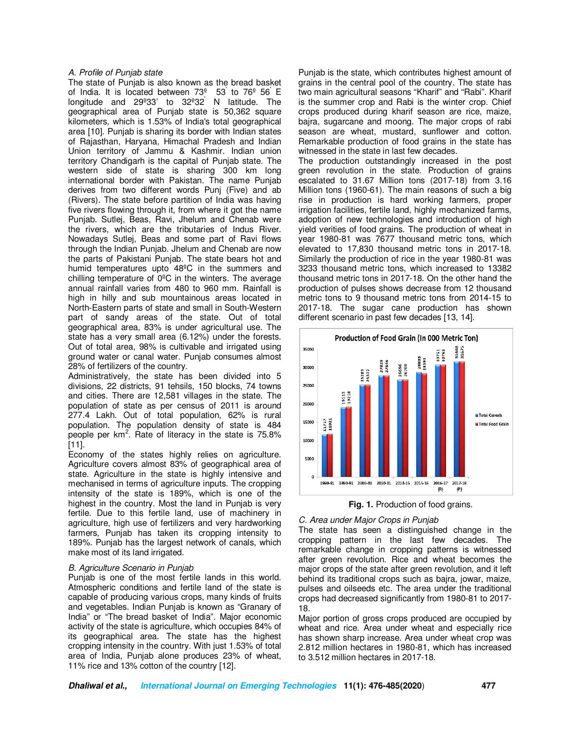#### *A. Profile of Punjab state*

The state of Punjab is also known as the bread basket of India. It is located between  $73^\circ$   $53'$  to  $76^\circ$   $56'$  E longitude and 29º33' to 32º32′ N latitude. The geographical area of Punjab state is 50,362 square kilometers, which is 1.53% of India's total geographical area [10]. Punjab is sharing its border with Indian states of Rajasthan, Haryana, Himachal Pradesh and Indian Union territory of Jammu & Kashmir. Indian union territory Chandigarh is the capital of Punjab state. The western side of state is sharing 300 km long international border with Pakistan. The name Punjab derives from two different words Punj (Five) and ab (Rivers). The state before partition of India was having five rivers flowing through it, from where it got the name Punjab. Sutlej, Beas, Ravi, Jhelum and Chenab were the rivers, which are the tributaries of Indus River. Nowadays Sutlej, Beas and some part of Ravi flows through the Indian Punjab. Jhelum and Chenab are now the parts of Pakistani Punjab. The state bears hot and humid temperatures upto 48ºC in the summers and chilling temperature of 0ºC in the winters. The average annual rainfall varies from 480 to 960 mm. Rainfall is high in hilly and sub mountainous areas located in North-Eastern parts of state and small in South-Western part of sandy areas of the state. Out of total geographical area, 83% is under agricultural use. The state has a very small area (6.12%) under the forests. Out of total area, 98% is cultivable and irrigated using ground water or canal water. Punjab consumes almost 28% of fertilizers of the country.

Administratively, the state has been divided into 5 divisions, 22 districts, 91 tehsils, 150 blocks, 74 towns and cities. There are 12,581 villages in the state. The population of state as per census of 2011 is around 277.4 Lakh. Out of total population, 62% is rural population. The population density of state is 484 people per  $km^2$ . Rate of literacy in the state is 75.8% [11].

Economy of the states highly relies on agriculture. Agriculture covers almost 83% of geographical area of state. Agriculture in the state is highly intensive and mechanised in terms of agriculture inputs. The cropping intensity of the state is 189%, which is one of the highest in the country. Most the land in Punjab is very fertile. Due to this fertile land, use of machinery in agriculture, high use of fertilizers and very hardworking farmers, Punjab has taken its cropping intensity to 189%. Punjab has the largest network of canals, which make most of its land irrigated.

#### *B. Agriculture Scenario in Punjab*

Punjab is one of the most fertile lands in this world. Atmospheric conditions and fertile land of the state is capable of producing various crops, many kinds of fruits and vegetables. Indian Punjab is known as "Granary of India" or "The bread basket of India". Major economic activity of the state is agriculture, which occupies 84% of its geographical area. The state has the highest cropping intensity in the country. With just 1.53% of total area of India, Punjab alone produces 23% of wheat, 11% rice and 13% cotton of the country [12].

Punjab is the state, which contributes highest amount of grains in the central pool of the country. The state has two main agricultural seasons "Kharif" and "Rabi". Kharif is the summer crop and Rabi is the winter crop. Chief crops produced during kharif season are rice, maize, bajra, sugarcane and moong. The major crops of rabi season are wheat, mustard, sunflower and cotton. Remarkable production of food grains in the state has witnessed in the state in last few decades.

The production outstandingly increased in the post green revolution in the state. Production of grains escalated to 31.67 Million tons (2017-18) from 3.16 Million tons (1960-61). The main reasons of such a big rise in production is hard working farmers, proper irrigation facilities, fertile land, highly mechanized farms, adoption of new technologies and introduction of high yield verities of food grains. The production of wheat in year 1980-81 was 7677 thousand metric tons, which elevated to 17,830 thousand metric tons in 2017-18. Similarly the production of rice in the year 1980-81 was 3233 thousand metric tons, which increased to 13382 thousand metric tons in 2017-18. On the other hand the production of pulses shows decrease from 12 thousand metric tons to 9 thousand metric tons from 2014-15 to 2017-18. The sugar cane production has shown different scenario in past few decades [13, 14].



**Fig. 1.** Production of food grains.

### *C. Area under Major Crops in Punjab*

The state has seen a distinguished change in the cropping pattern in the last few decades. The remarkable change in cropping patterns is witnessed after green revolution. Rice and wheat becomes the major crops of the state after green revolution, and it left behind its traditional crops such as bajra, jowar, maize, pulses and oilseeds etc. The area under the traditional crops had decreased significantly from 1980-81 to 2017- 18.

Major portion of gross crops produced are occupied by wheat and rice. Area under wheat and especially rice has shown sharp increase. Area under wheat crop was 2.812 million hectares in 1980-81, which has increased to 3.512 million hectares in 2017-18.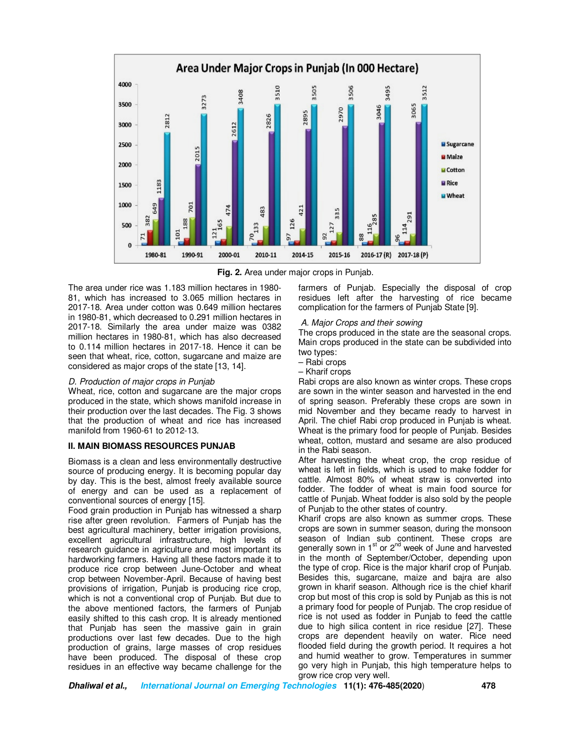

**Fig. 2.** Area under major crops in Punjab.

The area under rice was 1.183 million hectares in 1980- 81, which has increased to 3.065 million hectares in 2017-18. Area under cotton was 0.649 million hectares in 1980-81, which decreased to 0.291 million hectares in 2017-18. Similarly the area under maize was 0382 million hectares in 1980-81, which has also decreased to 0.114 million hectares in 2017-18. Hence it can be seen that wheat, rice, cotton, sugarcane and maize are considered as major crops of the state [13, 14].

#### *D. Production of major crops in Punjab*

Wheat, rice, cotton and sugarcane are the major crops produced in the state, which shows manifold increase in their production over the last decades. The Fig. 3 shows that the production of wheat and rice has increased manifold from 1960-61 to 2012-13.

#### **II. MAIN BIOMASS RESOURCES PUNJAB**

Biomass is a clean and less environmentally destructive source of producing energy. It is becoming popular day by day. This is the best, almost freely available source of energy and can be used as a replacement of conventional sources of energy [15].

Food grain production in Punjab has witnessed a sharp rise after green revolution. Farmers of Punjab has the best agricultural machinery, better irrigation provisions, excellent agricultural infrastructure, high levels of research guidance in agriculture and most important its hardworking farmers. Having all these factors made it to produce rice crop between June-October and wheat crop between November-April. Because of having best provisions of irrigation, Punjab is producing rice crop, which is not a conventional crop of Punjab. But due to the above mentioned factors, the farmers of Punjab easily shifted to this cash crop. It is already mentioned that Punjab has seen the massive gain in grain productions over last few decades. Due to the high production of grains, large masses of crop residues have been produced. The disposal of these crop residues in an effective way became challenge for the

farmers of Punjab. Especially the disposal of crop residues left after the harvesting of rice became complication for the farmers of Punjab State [9].

#### *A. Major Crops and their sowing*

The crops produced in the state are the seasonal crops. Main crops produced in the state can be subdivided into two types:

- Rabi crops
- Kharif crops

Rabi crops are also known as winter crops. These crops are sown in the winter season and harvested in the end of spring season. Preferably these crops are sown in mid November and they became ready to harvest in April. The chief Rabi crop produced in Punjab is wheat. Wheat is the primary food for people of Punjab. Besides wheat, cotton, mustard and sesame are also produced in the Rabi season.

After harvesting the wheat crop, the crop residue of wheat is left in fields, which is used to make fodder for cattle. Almost 80% of wheat straw is converted into fodder. The fodder of wheat is main food source for cattle of Punjab. Wheat fodder is also sold by the people of Punjab to the other states of country.

Kharif crops are also known as summer crops. These crops are sown in summer season, during the monsoon season of Indian sub continent. These crops are generally sown in  $1<sup>st</sup>$  or  $2<sup>nd</sup>$  week of June and harvested in the month of September/October, depending upon the type of crop. Rice is the major kharif crop of Punjab. Besides this, sugarcane, maize and bajra are also grown in kharif season. Although rice is the chief kharif crop but most of this crop is sold by Punjab as this is not a primary food for people of Punjab. The crop residue of rice is not used as fodder in Punjab to feed the cattle due to high silica content in rice residue [27]. These crops are dependent heavily on water. Rice need flooded field during the growth period. It requires a hot and humid weather to grow. Temperatures in summer go very high in Punjab, this high temperature helps to grow rice crop very well.

**Dhaliwal et al., International Journal on Emerging Technologies 11(1): 476-485(2020**) **478**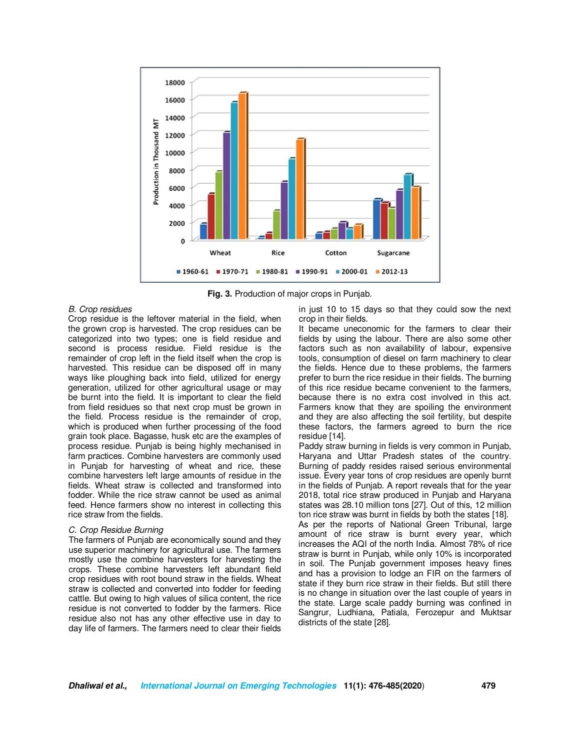

**Fig. 3.** Production of major crops in Punjab.

#### *B. Crop residues*

Crop residue is the leftover material in the field, when the grown crop is harvested. The crop residues can be categorized into two types; one is field residue and second is process residue. Field residue is the remainder of crop left in the field itself when the crop is harvested. This residue can be disposed off in many ways like ploughing back into field, utilized for energy generation, utilized for other agricultural usage or may be burnt into the field. It is important to clear the field from field residues so that next crop must be grown in the field. Process residue is the remainder of crop, which is produced when further processing of the food grain took place. Bagasse, husk etc are the examples of process residue. Punjab is being highly mechanised in farm practices. Combine harvesters are commonly used in Punjab for harvesting of wheat and rice, these combine harvesters left large amounts of residue in the fields. Wheat straw is collected and transformed into fodder. While the rice straw cannot be used as animal feed. Hence farmers show no interest in collecting this rice straw from the fields.

## *C. Crop Residue Burning*

The farmers of Punjab are economically sound and they use superior machinery for agricultural use. The farmers mostly use the combine harvesters for harvesting the crops. These combine harvesters left abundant field crop residues with root bound straw in the fields. Wheat straw is collected and converted into fodder for feeding cattle. But owing to high values of silica content, the rice residue is not converted to fodder by the farmers. Rice residue also not has any other effective use in day to day life of farmers. The farmers need to clear their fields

in just 10 to 15 days so that they could sow the next crop in their fields.

It became uneconomic for the farmers to clear their fields by using the labour. There are also some other factors such as non availability of labour, expensive tools, consumption of diesel on farm machinery to clear the fields. Hence due to these problems, the farmers prefer to burn the rice residue in their fields. The burning of this rice residue became convenient to the farmers, because there is no extra cost involved in this act. Farmers know that they are spoiling the environment and they are also affecting the soil fertility, but despite these factors, the farmers agreed to burn the rice residue [14].

Paddy straw burning in fields is very common in Punjab, Haryana and Uttar Pradesh states of the country. Burning of paddy resides raised serious environmental issue. Every year tons of crop residues are openly burnt in the fields of Punjab. A report reveals that for the year 2018, total rice straw produced in Punjab and Haryana states was 28.10 million tons [27]. Out of this, 12 million ton rice straw was burnt in fields by both the states [18]. As per the reports of National Green Tribunal, large amount of rice straw is burnt every year, which increases the AQI of the north India. Almost 78% of rice straw is burnt in Punjab, while only 10% is incorporated in soil. The Punjab government imposes heavy fines and has a provision to lodge an FIR on the farmers of state if they burn rice straw in their fields. But still there is no change in situation over the last couple of years in the state. Large scale paddy burning was confined in Sangrur, Ludhiana, Patiala, Ferozepur and Muktsar districts of the state [28].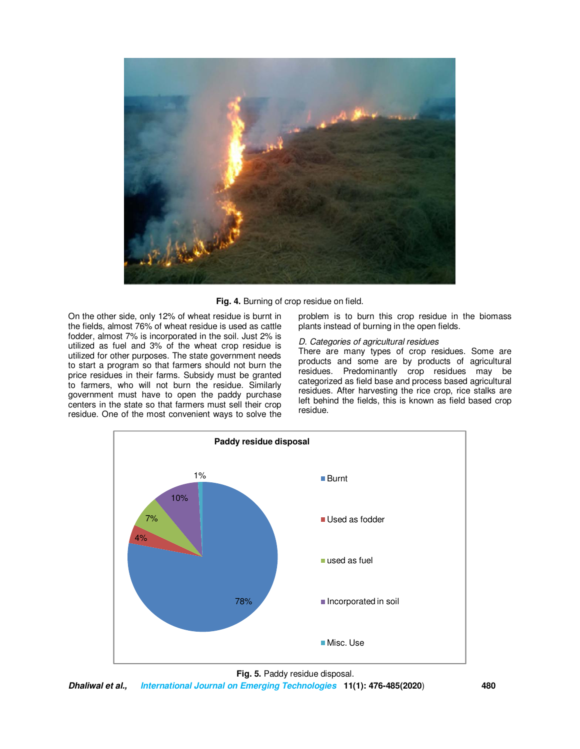

**Fig. 4.** Burning of crop residue on field.

On the other side, only 12% of wheat residue is burnt in the fields, almost 76% of wheat residue is used as cattle fodder, almost 7% is incorporated in the soil. Just 2% is utilized as fuel and 3% of the wheat crop residue is utilized for other purposes. The state government needs to start a program so that farmers should not burn the price residues in their farms. Subsidy must be granted to farmers, who will not burn the residue. Similarly government must have to open the paddy purchase centers in the state so that farmers must sell their crop residue. One of the most convenient ways to solve the

problem is to burn this crop residue in the biomass plants instead of burning in the open fields.

## *D. Categories of agricultural residues*

There are many types of crop residues. Some are products and some are by products of agricultural residues. Predominantly crop residues may be categorized as field base and process based agricultural residues. After harvesting the rice crop, rice stalks are left behind the fields, this is known as field based crop residue.



**Fig. 5.** Paddy residue disposal.

**Dhaliwal et al., International Journal on Emerging Technologies 11(1): 476-485(2020**) **480**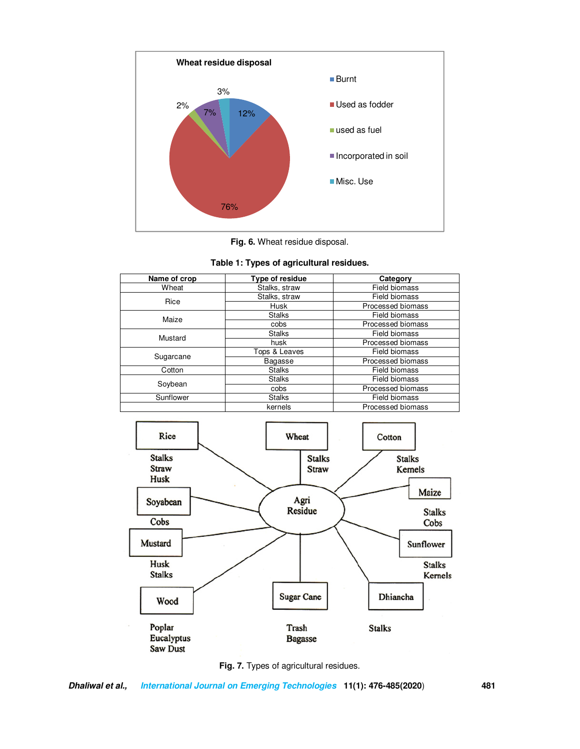

**Fig. 6.** Wheat residue disposal.



| Name of crop | Type of residue | Category             |
|--------------|-----------------|----------------------|
| Wheat        | Stalks, straw   | <b>Field biomass</b> |
| Rice         | Stalks, straw   | Field biomass        |
|              | Husk            | Processed biomass    |
| Maize        | <b>Stalks</b>   | Field biomass        |
|              | cobs            | Processed biomass    |
| Mustard      | <b>Stalks</b>   | Field biomass        |
|              | husk            | Processed biomass    |
| Sugarcane    | Tops & Leaves   | Field biomass        |
|              | Bagasse         | Processed biomass    |
| Cotton       | <b>Stalks</b>   | Field biomass        |
| Soybean      | <b>Stalks</b>   | Field biomass        |
|              | cobs            | Processed biomass    |
| Sunflower    | <b>Stalks</b>   | Field biomass        |
|              | kernels         | Processed biomass    |





**Dhaliwal et al., International Journal on Emerging Technologies 11(1): 476-485(2020**) **481**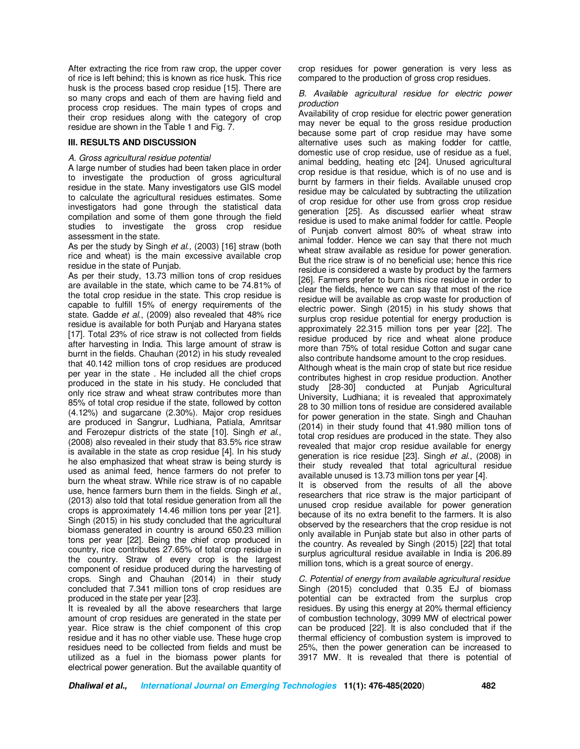After extracting the rice from raw crop, the upper cover of rice is left behind; this is known as rice husk. This rice husk is the process based crop residue [15]. There are so many crops and each of them are having field and process crop residues. The main types of crops and their crop residues along with the category of crop residue are shown in the Table 1 and Fig. 7.

### **III. RESULTS AND DISCUSSION**

#### *A. Gross agricultural residue potential*

A large number of studies had been taken place in order to investigate the production of gross agricultural residue in the state. Many investigators use GIS model to calculate the agricultural residues estimates. Some investigators had gone through the statistical data compilation and some of them gone through the field studies to investigate the gross crop residue assessment in the state.

As per the study by Singh *et al.,* (2003) [16] straw (both rice and wheat) is the main excessive available crop residue in the state of Punjab.

As per their study, 13.73 million tons of crop residues are available in the state, which came to be 74.81% of the total crop residue in the state. This crop residue is capable to fulfill 15% of energy requirements of the state. Gadde *et al*., (2009) also revealed that 48% rice residue is available for both Punjab and Haryana states [17]. Total 23% of rice straw is not collected from fields after harvesting in India. This large amount of straw is burnt in the fields. Chauhan (2012) in his study revealed that 40.142 million tons of crop residues are produced per year in the state . He included all the chief crops produced in the state in his study. He concluded that only rice straw and wheat straw contributes more than 85% of total crop residue if the state, followed by cotton (4.12%) and sugarcane (2.30%). Major crop residues are produced in Sangrur, Ludhiana, Patiala, Amritsar and Ferozepur districts of the state [10]. Singh *et al*., (2008) also revealed in their study that 83.5% rice straw is available in the state as crop residue [4]. In his study he also emphasized that wheat straw is being sturdy is used as animal feed, hence farmers do not prefer to burn the wheat straw. While rice straw is of no capable use, hence farmers burn them in the fields. Singh *et al*., (2013) also told that total residue generation from all the crops is approximately 14.46 million tons per year [21]. Singh (2015) in his study concluded that the agricultural biomass generated in country is around 650.23 million tons per year [22]. Being the chief crop produced in country, rice contributes 27.65% of total crop residue in the country. Straw of every crop is the largest component of residue produced during the harvesting of crops. Singh and Chauhan (2014) in their study concluded that 7.341 million tons of crop residues are produced in the state per year [23].

It is revealed by all the above researchers that large amount of crop residues are generated in the state per year. Rice straw is the chief component of this crop residue and it has no other viable use. These huge crop residues need to be collected from fields and must be utilized as a fuel in the biomass power plants for electrical power generation. But the available quantity of crop residues for power generation is very less as compared to the production of gross crop residues.

*B. Available agricultural residue for electric power production* 

Availability of crop residue for electric power generation may never be equal to the gross residue production because some part of crop residue may have some alternative uses such as making fodder for cattle, domestic use of crop residue, use of residue as a fuel, animal bedding, heating etc [24]. Unused agricultural crop residue is that residue, which is of no use and is burnt by farmers in their fields. Available unused crop residue may be calculated by subtracting the utilization of crop residue for other use from gross crop residue generation [25]. As discussed earlier wheat straw residue is used to make animal fodder for cattle. People of Punjab convert almost 80% of wheat straw into animal fodder. Hence we can say that there not much wheat straw available as residue for power generation. But the rice straw is of no beneficial use; hence this rice residue is considered a waste by product by the farmers [26]. Farmers prefer to burn this rice residue in order to clear the fields, hence we can say that most of the rice residue will be available as crop waste for production of electric power. Singh (2015) in his study shows that surplus crop residue potential for energy production is approximately 22.315 million tons per year [22]. The residue produced by rice and wheat alone produce more than 75% of total residue Cotton and sugar cane also contribute handsome amount to the crop residues.

Although wheat is the main crop of state but rice residue contributes highest in crop residue production. Another study [28-30] conducted at Punjab Agricultural University, Ludhiana; it is revealed that approximately 28 to 30 million tons of residue are considered available for power generation in the state. Singh and Chauhan (2014) in their study found that 41.980 million tons of total crop residues are produced in the state. They also revealed that major crop residue available for energy generation is rice residue [23]. Singh *et al*., (2008) in their study revealed that total agricultural residue available unused is 13.73 million tons per year [4].

It is observed from the results of all the above researchers that rice straw is the major participant of unused crop residue available for power generation because of its no extra benefit to the farmers. It is also observed by the researchers that the crop residue is not only available in Punjab state but also in other parts of the country. As revealed by Singh (2015) [22] that total surplus agricultural residue available in India is 206.89 million tons, which is a great source of energy.

*C. Potential of energy from available agricultural residue*  Singh (2015) concluded that 0.35 EJ of biomass potential can be extracted from the surplus crop residues. By using this energy at 20% thermal efficiency of combustion technology, 3099 MW of electrical power can be produced [22]. It is also concluded that if the thermal efficiency of combustion system is improved to 25%, then the power generation can be increased to 3917 MW. It is revealed that there is potential of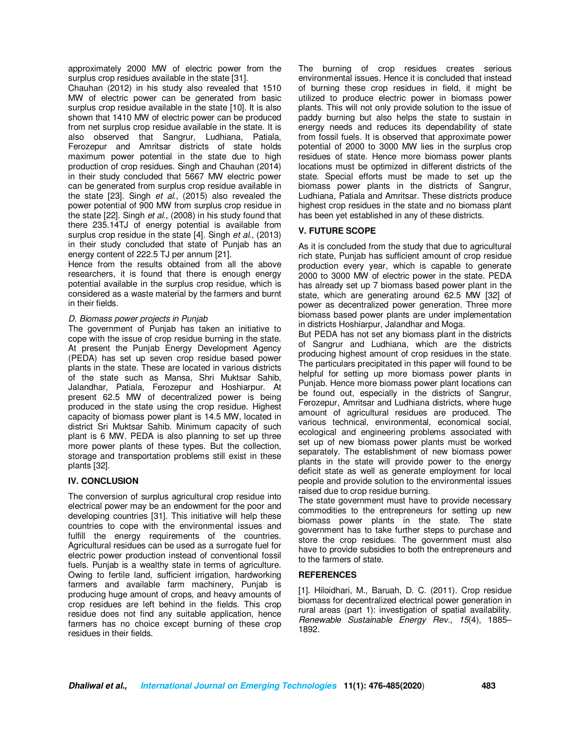approximately 2000 MW of electric power from the surplus crop residues available in the state [31].

Chauhan (2012) in his study also revealed that 1510 MW of electric power can be generated from basic surplus crop residue available in the state [10]. It is also shown that 1410 MW of electric power can be produced from net surplus crop residue available in the state. It is also observed that Sangrur, Ludhiana, Patiala, Ferozepur and Amritsar districts of state holds maximum power potential in the state due to high production of crop residues. Singh and Chauhan (2014) in their study concluded that 5667 MW electric power can be generated from surplus crop residue available in the state [23]. Singh *et al*., (2015) also revealed the power potential of 900 MW from surplus crop residue in the state [22]. Singh *et al*., (2008) in his study found that there 235.14TJ of energy potential is available from surplus crop residue in the state [4]. Singh *et al*., (2013) in their study concluded that state of Punjab has an energy content of 222.5 TJ per annum [21].

Hence from the results obtained from all the above researchers, it is found that there is enough energy potential available in the surplus crop residue, which is considered as a waste material by the farmers and burnt in their fields.

## *D. Biomass power projects in Punjab*

The government of Punjab has taken an initiative to cope with the issue of crop residue burning in the state. At present the Punjab Energy Development Agency (PEDA) has set up seven crop residue based power plants in the state. These are located in various districts of the state such as Mansa, Shri Muktsar Sahib, Jalandhar, Patiala, Ferozepur and Hoshiarpur. At present 62.5 MW of decentralized power is being produced in the state using the crop residue. Highest capacity of biomass power plant is 14.5 MW, located in district Sri Muktsar Sahib. Minimum capacity of such plant is 6 MW. PEDA is also planning to set up three more power plants of these types. But the collection, storage and transportation problems still exist in these plants [32].

## **IV. CONCLUSION**

The conversion of surplus agricultural crop residue into electrical power may be an endowment for the poor and developing countries [31]. This initiative will help these countries to cope with the environmental issues and fulfill the energy requirements of the countries. Agricultural residues can be used as a surrogate fuel for electric power production instead of conventional fossil fuels. Punjab is a wealthy state in terms of agriculture. Owing to fertile land, sufficient irrigation, hardworking farmers and available farm machinery, Punjab is producing huge amount of crops, and heavy amounts of crop residues are left behind in the fields. This crop residue does not find any suitable application, hence farmers has no choice except burning of these crop residues in their fields.

The burning of crop residues creates serious environmental issues. Hence it is concluded that instead of burning these crop residues in field, it might be utilized to produce electric power in biomass power plants. This will not only provide solution to the issue of paddy burning but also helps the state to sustain in energy needs and reduces its dependability of state from fossil fuels. It is observed that approximate power potential of 2000 to 3000 MW lies in the surplus crop residues of state. Hence more biomass power plants locations must be optimized in different districts of the state. Special efforts must be made to set up the biomass power plants in the districts of Sangrur, Ludhiana, Patiala and Amritsar. These districts produce highest crop residues in the state and no biomass plant has been yet established in any of these districts.

## **V. FUTURE SCOPE**

As it is concluded from the study that due to agricultural rich state, Punjab has sufficient amount of crop residue production every year, which is capable to generate 2000 to 3000 MW of electric power in the state. PEDA has already set up 7 biomass based power plant in the state, which are generating around 62.5 MW [32] of power as decentralized power generation. Three more biomass based power plants are under implementation in districts Hoshiarpur, Jalandhar and Moga.

But PEDA has not set any biomass plant in the districts of Sangrur and Ludhiana, which are the districts producing highest amount of crop residues in the state. The particulars precipitated in this paper will found to be helpful for setting up more biomass power plants in Punjab. Hence more biomass power plant locations can be found out, especially in the districts of Sangrur, Ferozepur, Amritsar and Ludhiana districts, where huge amount of agricultural residues are produced. The various technical, environmental, economical social, ecological and engineering problems associated with set up of new biomass power plants must be worked separately. The establishment of new biomass power plants in the state will provide power to the energy deficit state as well as generate employment for local people and provide solution to the environmental issues raised due to crop residue burning.

The state government must have to provide necessary commodities to the entrepreneurs for setting up new biomass power plants in the state. The state government has to take further steps to purchase and store the crop residues. The government must also have to provide subsidies to both the entrepreneurs and to the farmers of state.

## **REFERENCES**

[1]. Hiloidhari, M., Baruah, D. C. (2011). Crop residue biomass for decentralized electrical power generation in rural areas (part 1): investigation of spatial availability. *Renewable Sustainable Energy Rev., 15*(4), 1885– 1892.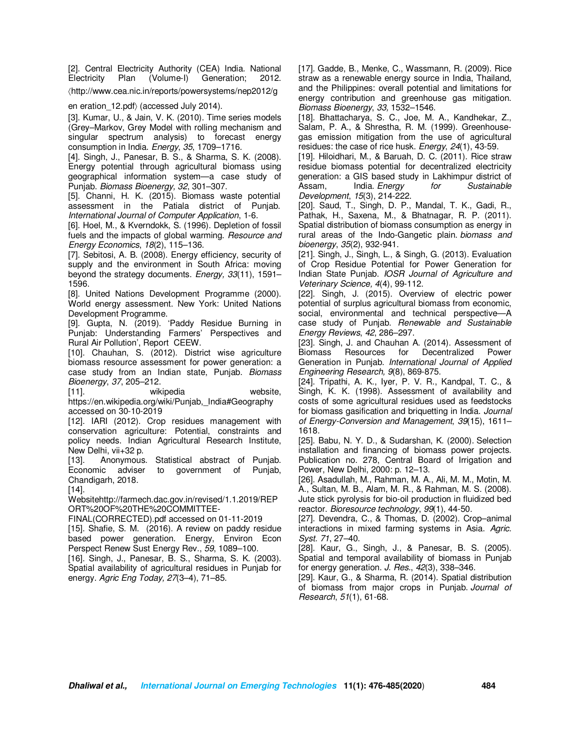[2]. Central Electricity Authority (CEA) India. National Electricity Plan (Volume-I) Generation; 2012. 〈http://www.cea.nic.in/reports/powersystems/nep2012/g

en eration 12.pdf) (accessed July 2014).

[3]. Kumar, U., & Jain, V. K. (2010). Time series models (Grey–Markov, Grey Model with rolling mechanism and singular spectrum analysis) to forecast energy consumption in India. *Energy*, *35*, 1709–1716.

[4]. Singh, J., Panesar, B. S., & Sharma, S. K. (2008). Energy potential through agricultural biomass using geographical information system—a case study of Punjab. *Biomass Bioenergy, 32*, 301–307.

[5]. Channi, H. K. (2015). Biomass waste potential assessment in the Patiala district of Punjab. *International Journal of Computer Application*, 1-6.

[6]. Hoel, M., & Kverndokk, S. (1996). Depletion of fossil fuels and the impacts of global warming. *Resource and Energy Economics*, *18*(2), 115–136.

[7]. Sebitosi, A. B. (2008). Energy efficiency, security of supply and the environment in South Africa: moving beyond the strategy documents. *Energy, 33*(11), 1591– 1596.

[8]. United Nations Development Programme (2000). World energy assessment. New York: United Nations Development Programme.

[9]. Gupta, N. (2019). 'Paddy Residue Burning in Punjab: Understanding Farmers' Perspectives and Rural Air Pollution', Report CEEW.

[10]. Chauhan, S. (2012). District wise agriculture biomass resource assessment for power generation: a case study from an Indian state, Punjab. *Biomass Bioenergy*, *37*, 205–212.

[11]. wikipedia website. https://en.wikipedia.org/wiki/Punjab, India#Geography accessed on 30-10-2019

[12]. IARI (2012). Crop residues management with conservation agriculture: Potential, constraints and policy needs. Indian Agricultural Research Institute, New Delhi, vii+32 p.

[13]. Anonymous. Statistical abstract of Punjab. Economic adviser to government of Punjab, Chandigarh, 2018.

[14]. Websitehttp://farmech.dac.gov.in/revised/1.1.2019/REP ORT%20OF%20THE%20COMMITTEE-

FINAL(CORRECTED).pdf accessed on 01-11-2019

[15]. Shafie, S. M. (2016). A review on paddy residue based power generation. Energy, Environ Econ Perspect Renew Sust Energy Rev., *59*, 1089–100.

[16]. Singh, J., Panesar, B. S., Sharma, S. K. (2003). Spatial availability of agricultural residues in Punjab for energy. *Agric Eng Today, 27*(3–4), 71–85.

[17]. Gadde, B., Menke, C., Wassmann, R. (2009). Rice straw as a renewable energy source in India, Thailand, and the Philippines: overall potential and limitations for energy contribution and greenhouse gas mitigation. *Biomass Bioenergy*, *33,* 1532–1546.

[18]. Bhattacharya, S. C., Joe, M. A., Kandhekar, Z., Salam, P. A., & Shrestha, R. M. (1999). Greenhousegas emission mitigation from the use of agricultural residues: the case of rice husk. *Energy*, *24*(1), 43-59.

[19]. Hiloidhari, M., & Baruah, D. C. (2011). Rice straw residue biomass potential for decentralized electricity generation: a GIS based study in Lakhimpur district of Assam, India. *Energy for Sustainable Development*, *15*(3), 214-222.

[20]. Saud, T., Singh, D. P., Mandal, T. K., Gadi, R., Pathak, H., Saxena, M., & Bhatnagar, R. P. (2011). Spatial distribution of biomass consumption as energy in rural areas of the Indo-Gangetic plain. *biomass and bioenergy*, *35*(2), 932-941.

[21]. Singh, J., Singh, L., & Singh, G. (2013). Evaluation of Crop Residue Potential for Power Generation for Indian State Punjab. *IOSR Journal of Agriculture and Veterinary Science, 4*(4), 99-112.

[22]. Singh, J. (2015). Overview of electric power potential of surplus agricultural biomass from economic, social, environmental and technical perspective—A case study of Punjab. *Renewable and Sustainable Energy Reviews*, *42*, 286–297.

[23]. Singh, J. and Chauhan A. (2014). Assessment of **Decentralized** Generation in Punjab. *International Journal of Applied Engineering Research, 9*(8), 869-875.

[24]. Tripathi, A. K., Iyer, P. V. R., Kandpal, T. C., & Singh, K. K. (1998). Assessment of availability and costs of some agricultural residues used as feedstocks for biomass gasification and briquetting in India. *Journal of Energy-Conversion and Management*, *39*(15), 1611– 1618.

[25]. Babu, N. Y. D., & Sudarshan, K. (2000). Selection installation and financing of biomass power projects. Publication no. 278, Central Board of Irrigation and Power, New Delhi, 2000: p. 12–13.

[26]. Asadullah, M., Rahman, M. A., Ali, M. M., Motin, M. A., Sultan, M. B., Alam, M. R., & Rahman, M. S. (2008). Jute stick pyrolysis for bio-oil production in fluidized bed reactor. *Bioresource technology*, *99*(1), 44-50.

[27]. Devendra, C., & Thomas, D. (2002). Crop–animal interactions in mixed farming systems in Asia. *Agric. Syst. 71*, 27–40.

[28]. Kaur, G., Singh, J., & Panesar, B. S. (2005). Spatial and temporal availability of biomass in Punjab for energy generation. *J. Res.*, *42*(3), 338–346.

[29]. Kaur, G., & Sharma, R. (2014). Spatial distribution of biomass from major crops in Punjab. *Journal of Research*, *51*(1), 61-68.